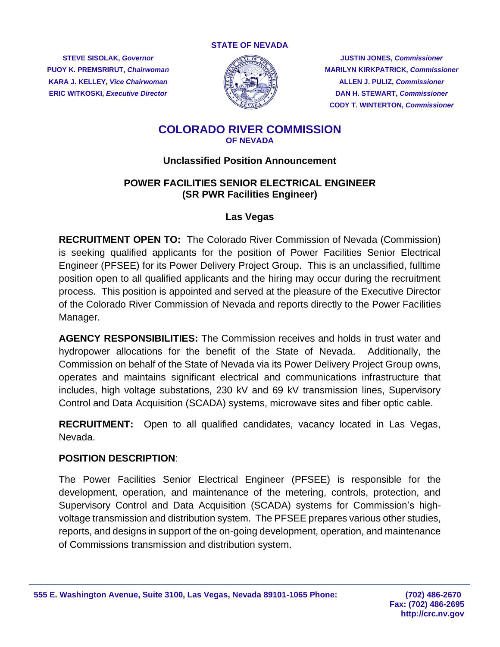#### **STATE OF NEVADA**

**KARA J. KELLEY,** *Vice Chairwoman* **ALLEN J. PULIZ,** *Commissioner*



**STEVE SISOLAK,** *Governor* **JUSTIN JONES,** *Commissioner* **PUOY K. PREMSRIRUT,** *Chairwoman* **MARILYN KIRKPATRICK,** *Commissioner* **ERIC WITKOSKI, Executive Director DAN H. STEWART, Commissioner CODY T. WINTERTON,** *Commissioner*

# **COLORADO RIVER COMMISSION OF NEVADA**

## **Unclassified Position Announcement**

# **POWER FACILITIES SENIOR ELECTRICAL ENGINEER (SR PWR Facilities Engineer)**

## **Las Vegas**

**RECRUITMENT OPEN TO:** The Colorado River Commission of Nevada (Commission) is seeking qualified applicants for the position of Power Facilities Senior Electrical Engineer (PFSEE) for its Power Delivery Project Group. This is an unclassified, fulltime position open to all qualified applicants and the hiring may occur during the recruitment process. This position is appointed and served at the pleasure of the Executive Director of the Colorado River Commission of Nevada and reports directly to the Power Facilities Manager.

**AGENCY RESPONSIBILITIES:** The Commission receives and holds in trust water and hydropower allocations for the benefit of the State of Nevada. Additionally, the Commission on behalf of the State of Nevada via its Power Delivery Project Group owns, operates and maintains significant electrical and communications infrastructure that includes, high voltage substations, 230 kV and 69 kV transmission lines, Supervisory Control and Data Acquisition (SCADA) systems, microwave sites and fiber optic cable.

**RECRUITMENT:** Open to all qualified candidates, vacancy located in Las Vegas, Nevada.

#### **POSITION DESCRIPTION**:

The Power Facilities Senior Electrical Engineer (PFSEE) is responsible for the development, operation, and maintenance of the metering, controls, protection, and Supervisory Control and Data Acquisition (SCADA) systems for Commission's highvoltage transmission and distribution system. The PFSEE prepares various other studies, reports, and designs in support of the on-going development, operation, and maintenance of Commissions transmission and distribution system.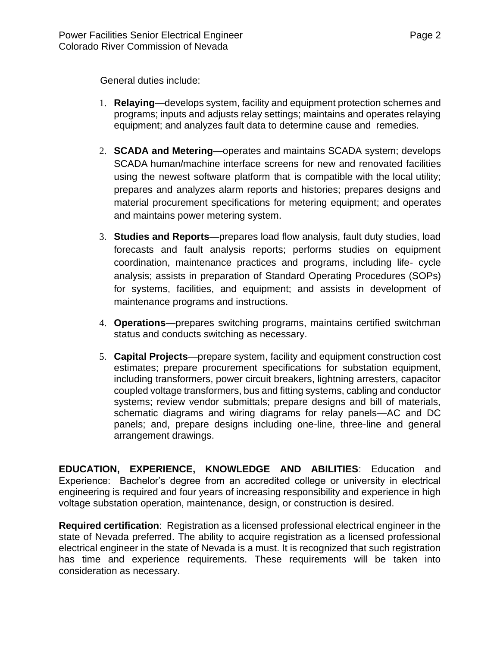General duties include:

- 1. **Relaying**—develops system, facility and equipment protection schemes and programs; inputs and adjusts relay settings; maintains and operates relaying equipment; and analyzes fault data to determine cause and remedies.
- 2. **SCADA and Metering**—operates and maintains SCADA system; develops SCADA human/machine interface screens for new and renovated facilities using the newest software platform that is compatible with the local utility; prepares and analyzes alarm reports and histories; prepares designs and material procurement specifications for metering equipment; and operates and maintains power metering system.
- 3. **Studies and Reports**—prepares load flow analysis, fault duty studies, load forecasts and fault analysis reports; performs studies on equipment coordination, maintenance practices and programs, including life- cycle analysis; assists in preparation of Standard Operating Procedures (SOPs) for systems, facilities, and equipment; and assists in development of maintenance programs and instructions.
- 4. **Operations**—prepares switching programs, maintains certified switchman status and conducts switching as necessary.
- 5. **Capital Projects**—prepare system, facility and equipment construction cost estimates; prepare procurement specifications for substation equipment, including transformers, power circuit breakers, lightning arresters, capacitor coupled voltage transformers, bus and fitting systems, cabling and conductor systems; review vendor submittals; prepare designs and bill of materials, schematic diagrams and wiring diagrams for relay panels—AC and DC panels; and, prepare designs including one-line, three-line and general arrangement drawings.

**EDUCATION, EXPERIENCE, KNOWLEDGE AND ABILITIES**: Education and Experience: Bachelor's degree from an accredited college or university in electrical engineering is required and four years of increasing responsibility and experience in high voltage substation operation, maintenance, design, or construction is desired.

**Required certification**: Registration as a licensed professional electrical engineer in the state of Nevada preferred. The ability to acquire registration as a licensed professional electrical engineer in the state of Nevada is a must. It is recognized that such registration has time and experience requirements. These requirements will be taken into consideration as necessary.